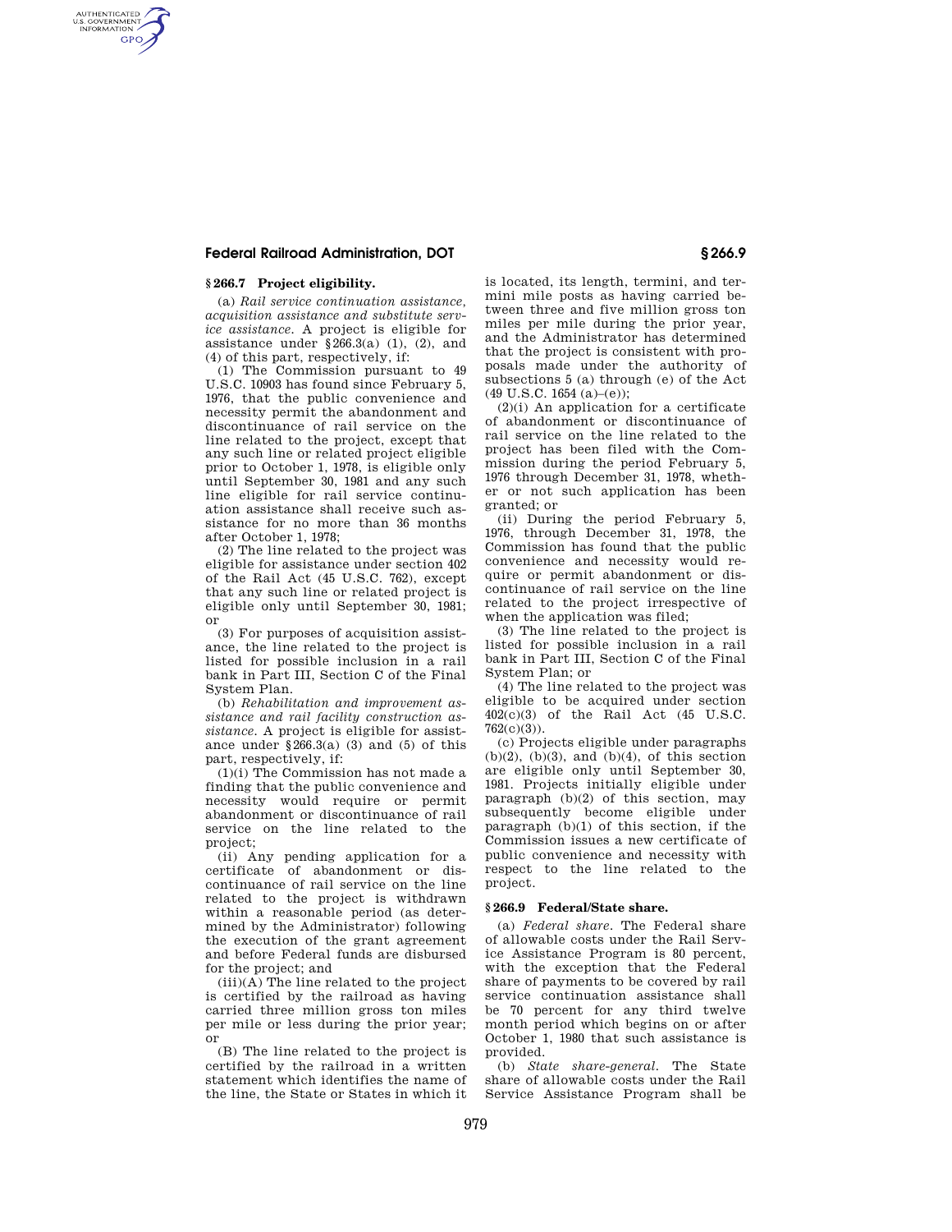# **Federal Railroad Administration, DOT § 266.9**

## **§ 266.7 Project eligibility.**

AUTHENTICATED<br>U.S. GOVERNMENT<br>INFORMATION **GPO** 

> (a) *Rail service continuation assistance, acquisition assistance and substitute service assistance.* A project is eligible for assistance under §266.3(a) (1), (2), and (4) of this part, respectively, if:

> (1) The Commission pursuant to 49 U.S.C. 10903 has found since February 5, 1976, that the public convenience and necessity permit the abandonment and discontinuance of rail service on the line related to the project, except that any such line or related project eligible prior to October 1, 1978, is eligible only until September 30, 1981 and any such line eligible for rail service continuation assistance shall receive such assistance for no more than 36 months after October 1, 1978;

> (2) The line related to the project was eligible for assistance under section 402 of the Rail Act (45 U.S.C. 762), except that any such line or related project is eligible only until September 30, 1981; or

> (3) For purposes of acquisition assistance, the line related to the project is listed for possible inclusion in a rail bank in Part III, Section C of the Final System Plan.

> (b) *Rehabilitation and improvement assistance and rail facility construction assistance.* A project is eligible for assistance under  $\S 266.3(a)$  (3) and (5) of this part, respectively, if:

> (1)(i) The Commission has not made a finding that the public convenience and necessity would require or permit abandonment or discontinuance of rail service on the line related to the project;

> (ii) Any pending application for a certificate of abandonment or discontinuance of rail service on the line related to the project is withdrawn within a reasonable period (as determined by the Administrator) following the execution of the grant agreement and before Federal funds are disbursed for the project; and

> $(iii)(\overline{A})$  The line related to the project is certified by the railroad as having carried three million gross ton miles per mile or less during the prior year; or

> (B) The line related to the project is certified by the railroad in a written statement which identifies the name of the line, the State or States in which it

is located, its length, termini, and termini mile posts as having carried between three and five million gross ton miles per mile during the prior year, and the Administrator has determined that the project is consistent with proposals made under the authority of subsections 5 (a) through (e) of the Act (49 U.S.C. 1654 (a)–(e));

(2)(i) An application for a certificate of abandonment or discontinuance of rail service on the line related to the project has been filed with the Commission during the period February 5, 1976 through December 31, 1978, whether or not such application has been granted; or

(ii) During the period February 5, 1976, through December 31, 1978, the Commission has found that the public convenience and necessity would require or permit abandonment or discontinuance of rail service on the line related to the project irrespective of when the application was filed;

(3) The line related to the project is listed for possible inclusion in a rail bank in Part III, Section C of the Final System Plan; or

(4) The line related to the project was eligible to be acquired under section 402(c)(3) of the Rail Act (45 U.S.C.  $762(c)(3)$ ).

(c) Projects eligible under paragraphs  $(b)(2)$ ,  $(b)(3)$ , and  $(b)(4)$ , of this section are eligible only until September 30, 1981. Projects initially eligible under paragraph  $(b)(2)$  of this section, may subsequently become eligible under paragraph (b)(1) of this section, if the Commission issues a new certificate of public convenience and necessity with respect to the line related to the project.

# **§ 266.9 Federal/State share.**

(a) *Federal share.* The Federal share of allowable costs under the Rail Service Assistance Program is 80 percent, with the exception that the Federal share of payments to be covered by rail service continuation assistance shall be 70 percent for any third twelve month period which begins on or after October 1, 1980 that such assistance is provided.

(b) *State share-general.* The State share of allowable costs under the Rail Service Assistance Program shall be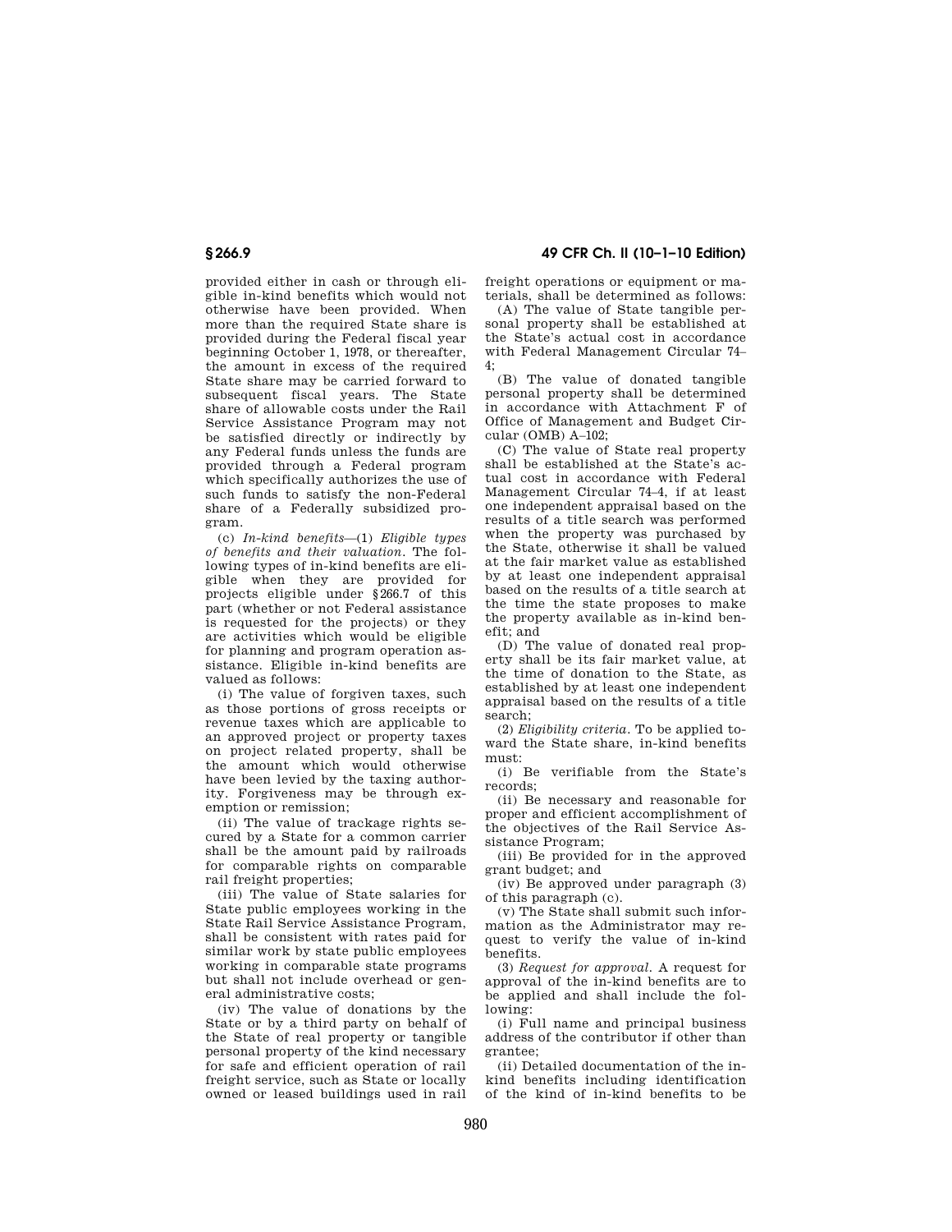# **§ 266.9 49 CFR Ch. II (10–1–10 Edition)**

provided either in cash or through eligible in-kind benefits which would not otherwise have been provided. When more than the required State share is provided during the Federal fiscal year beginning October 1, 1978, or thereafter, the amount in excess of the required State share may be carried forward to subsequent fiscal years. The State share of allowable costs under the Rail Service Assistance Program may not be satisfied directly or indirectly by any Federal funds unless the funds are provided through a Federal program which specifically authorizes the use of such funds to satisfy the non-Federal share of a Federally subsidized program.

(c) *In-kind benefits*—(1) *Eligible types of benefits and their valuation.* The following types of in-kind benefits are eligible when they are provided for projects eligible under §266.7 of this part (whether or not Federal assistance is requested for the projects) or they are activities which would be eligible for planning and program operation assistance. Eligible in-kind benefits are valued as follows:

(i) The value of forgiven taxes, such as those portions of gross receipts or revenue taxes which are applicable to an approved project or property taxes on project related property, shall be the amount which would otherwise have been levied by the taxing authority. Forgiveness may be through exemption or remission;

(ii) The value of trackage rights secured by a State for a common carrier shall be the amount paid by railroads for comparable rights on comparable rail freight properties;

(iii) The value of State salaries for State public employees working in the State Rail Service Assistance Program, shall be consistent with rates paid for similar work by state public employees working in comparable state programs but shall not include overhead or general administrative costs;

(iv) The value of donations by the State or by a third party on behalf of the State of real property or tangible personal property of the kind necessary for safe and efficient operation of rail freight service, such as State or locally owned or leased buildings used in rail

freight operations or equipment or materials, shall be determined as follows:

(A) The value of State tangible personal property shall be established at the State's actual cost in accordance with Federal Management Circular 74– 4;

(B) The value of donated tangible personal property shall be determined in accordance with Attachment F of Office of Management and Budget Circular (OMB) A–102;

(C) The value of State real property shall be established at the State's actual cost in accordance with Federal Management Circular 74–4, if at least one independent appraisal based on the results of a title search was performed when the property was purchased by the State, otherwise it shall be valued at the fair market value as established by at least one independent appraisal based on the results of a title search at the time the state proposes to make the property available as in-kind benefit; and

(D) The value of donated real property shall be its fair market value, at the time of donation to the State, as established by at least one independent appraisal based on the results of a title search;

(2) *Eligibility criteria.* To be applied toward the State share, in-kind benefits must:

(i) Be verifiable from the State's records;

(ii) Be necessary and reasonable for proper and efficient accomplishment of the objectives of the Rail Service Assistance Program;

(iii) Be provided for in the approved grant budget; and

(iv) Be approved under paragraph (3) of this paragraph (c).

(v) The State shall submit such information as the Administrator may request to verify the value of in-kind benefits.

(3) *Request for approval.* A request for approval of the in-kind benefits are to be applied and shall include the following:

(i) Full name and principal business address of the contributor if other than grantee;

(ii) Detailed documentation of the inkind benefits including identification of the kind of in-kind benefits to be